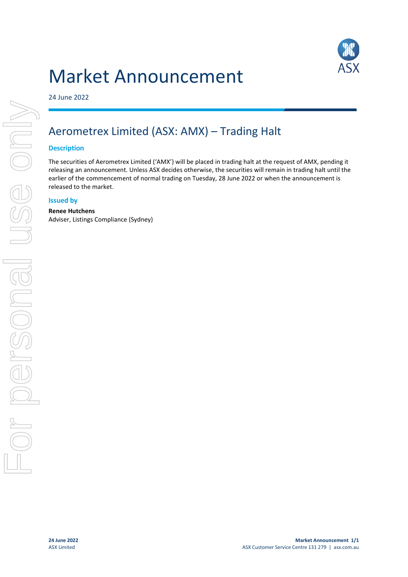# Market Announcement



24 June 2022

## Aerometrex Limited (ASX: AMX) – Trading Halt

#### **Description**

The securities of Aerometrex Limited ('AMX') will be placed in trading halt at the request of AMX, pending it releasing an announcement. Unless ASX decides otherwise, the securities will remain in trading halt until the earlier of the commencement of normal trading on Tuesday, 28 June 2022 or when the announcement is released to the market.

#### **Issued by**

#### **Renee Hutchens**

Adviser, Listings Compliance (Sydney)